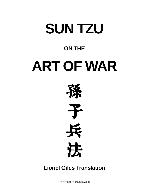

### **Lionel Giles Translation**

www.artofwarsuntzu.com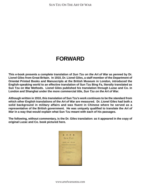### **FORWARD**

**This e-book presents a complete translation of Sun Tzu on the Art of War as penned by Dr. Lionel Giles from Great Britain. In 1910, Dr. Lionel Giles, a staff member of the Department of Oriental Printed Books and Manuscripts at the British Museum in London, introduced the English-speaking world to an effective translation of Sun Tzu Bing Fa, literally translated as Sun Tzu on War Methods. Lionel Giles published his translation through Luzac and Co. in London and Shanghai under the more commercial title, Sun Tzu on the Art of War.**

**Although written in 1910, this translation of Sun Tzu's work continues to be the standard from which other English translations of the Art of War are measured. Dr. Lionel Giles had both a solid background in military affairs and was fluent in Chinese where he served as a representative of the British government. He was uniquely qualified to translate the Art of War in a way that would explain what Sun Tzu meant with each of his passages.**

**The following, without commentary, is the Dr. Giles translation: as it appeared in the copy of original Luzac and Co. book pictured here.**

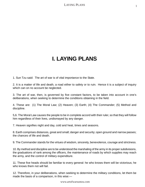### **I. LAYING PLANS**

1. Sun Tzu said: The art of war is of vital importance to the State.

2. It is a matter of life and death, a road either to safety or to ruin. Hence it is a subject of inquiry which can on no account be neglected.

3. The art of war, then, is governed by five constant factors, to be taken into account in one's deliberations, when seeking to determine the conditions obtaining in the field.

4. These are: (1) The Moral Law; (2) Heaven; (3) Earth; (4) The Commander; (5) Method and discipline.

5,6. The Moral Law causes the people to be in complete accord with their ruler, so that they will follow him regardless of their lives, undismayed by any danger.

7. Heaven signifies night and day, cold and heat, times and seasons.

8. Earth comprises distances, great and small; danger and security; open ground and narrow passes; the chances of life and death.

9. The Commander stands for the virtues of wisdom, sincerely, benevolence, courage and strictness.

10. By method and discipline are to be understood the marshaling of the army in its proper subdivisions, the graduations of rank among the officers, the maintenance of roads by which supplies may reach the army, and the control of military expenditure.

11. These five heads should be familiar to every general: he who knows them will be victorious; he who knows them not will fail.

12. Therefore, in your deliberations, when seeking to determine the military conditions, let them be made the basis of a comparison, in this wise:—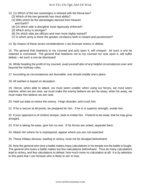### SUN TZU ON T<del>y</del>e Art Of War

- 13. (1) Which of the two sovereigns is imbued with the Moral law?
	- (2) Which of the two generals has most ability?
	- (3) With whom lie the advantages derived from Heaven and Earth?
	- (4) On which side is discipline most rigorously enforced?
	- (5) Which army is stronger?
	- (6) On which side are officers and men more highly trained?
	- (7) In which army is there the greater constancy both in reward and punishment?

14. By means of these seven considerations I can forecast victory or defeat.

15. The general that hearkens to my counsel and acts upon it, will conquer: let such a one be retained in command! The general that hearkens not to my counsel nor acts upon it, will suffer defeat:—let such a one be dismissed!

16. While heading the profit of my counsel, avail yourself also of any helpful circumstances over and beyond the ordinary rules.

17. According as circumstances are favorable, one should modify one's plans.

18. All warfare is based on deception.

19. Hence, when able to attack, we must seem unable; when using our forces, we must seem inactive; when we are near, we must make the enemy believe we are far away; when far away, we must make him believe we are near.

20. Hold out baits to entice the enemy. Feign disorder, and crush him.

21. If he is secure at all points, be prepared for him. If he is in superior strength, evade him.

22. If your opponent is of choleric temper, seek to irritate him. Pretend to be weak, that he may grow arrogant.

23. If he is taking his ease, give him no rest. If his forces are united, separate them.

24. Attack him where he is unprepared, appear where you are not expected.

25. These military devices, leading to victory, must not be divulged beforehand.

26. Now the general who wins a battle makes many calculations in his temple ere the battle is fought. The general who loses a battle makes but few calculations beforehand. Thus do many calculations lead to victory, and few calculations to defeat: how much more no calculation at all! It is by attention to this point that I can foresee who is likely to win or lose.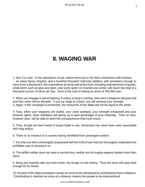### **II. WAGING WAR**

1. Sun Tzu said: In the operations of war, where there are in the field a thousand swift chariots, as many heavy chariots, and a hundred thousand mail-clad soldiers, with provisions enough to carry them a thousand li, the expenditure at home and at the front, including entertainment of guests, small items such as glue and paint, and sums spent on chariots and armor, will reach the total of a thousand ounces of silver per day. Such is the cost of raising an army of 100,000 men.

2. When you engage in actual fighting, if victory is long in coming, then men's weapons will grow dull and their ardor will be damped. If you lay siege to a town, you will exhaust your strength. 3. Again, if the campaign is protracted, the resources of the State will not be equal to the strain.

4. Now, when your weapons are dulled, your ardor damped, your strength exhausted and your treasure spent, other chieftains will spring up to take advantage of your extremity. Then no man, however wise, will be able to avert the consequences that must ensue.

5. Thus, though we have heard of stupid haste in war, cleverness has never been seen associated with long delays.

6. There is no instance of a country having benefited from prolonged warfare.

7. It is only one who is thoroughly acquainted with the evils of war that can thoroughly understand the profitable way of carrying it on.

8. The skillful soldier does not raise a second levy, neither are his supply-wagons loaded more than twice.

9. Bring war material with you from home, but forage on the enemy. Thus the army will have food enough for its needs.

10. Poverty of the State exchequer causes an army to be maintained by contributions from a distance. Contributing to maintain an army at a distance causes the people to be impoverished.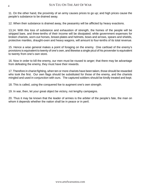11. On the other hand, the proximity of an army causes prices to go up; and high prices cause the people's substance to be drained away.

12. When their substance is drained away, the peasantry will be afflicted by heavy exactions.

13,14. With this loss of substance and exhaustion of strength, the homes of the people will be stripped bare, and three-tenths of their income will be dissipated; while government expenses for broken chariots, worn-out horses, breast-plates and helmets, bows and arrows, spears and shields, protective mantles, draught-oxen and heavy wagons, will amount to four-tenths of its total revenue.

15. Hence a wise general makes a point of foraging on the enemy. One cartload of the enemy's provisions is equivalent to twenty of one's own, and likewise a single picul of his provender is equivalent to twenty from one's own store.

16. Now in order to kill the enemy, our men must be roused to anger; that there may be advantage from defeating the enemy, they must have their rewards.

17. Therefore in chariot fighting, when ten or more chariots have been taken, those should be rewarded who took the first. Our own flags should be substituted for those of the enemy, and the chariots mingled and used in conjunction with ours. The captured soldiers should be kindly treated and kept.

18. This is called, using the conquered foe to augment one's own strength.

19. In war, then, let your great object be victory, not lengthy campaigns.

20. Thus it may be known that the leader of armies is the arbiter of the people's fate, the man on whom it depends whether the nation shall be in peace or in peril.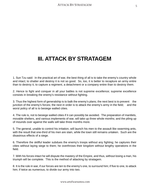### **III. ATTACK BY STRATAGEM**

1. Sun Tzu said: In the practical art of war, the best thing of all is to take the enemy's country whole and intact; to shatter and destroy it is not so good. So, too, it is better to recapture an army entire than to destroy it, to capture a regiment, a detachment or a company entire than to destroy them.

2. Hence to fight and conquer in all your battles is not supreme excellence; supreme excellence consists in breaking the enemy's resistance without fighting.

3. Thus the highest form of generalship is to balk the enemy's plans; the next best is to prevent the junction of the enemy's forces; the next in order is to attack the enemy's army in the field; and the worst policy of all is to besiege walled cities.

4. The rule is, not to besiege walled cities if it can possibly be avoided. The preparation of mantlets, movable shelters, and various implements of war, will take up three whole months; and the piling up of mounds over against the walls will take three months more.

5. The general, unable to control his irritation, will launch his men to the assault like swarming ants, with the result that one-third of his men are slain, while the town still remains untaken. Such are the disastrous effects of a siege.

6. Therefore the skillful leader subdues the enemy's troops without any fighting; he captures their cities without laying siege to them; he overthrows their kingdom without lengthy operations in the field.

7. With his forces intact he will dispute the mastery of the Empire, and thus, without losing a man, his triumph will be complete. This is the method of attacking by stratagem.

8. It is the rule in war, if our forces are ten to the enemy's one, to surround him; if five to one, to attack him; if twice as numerous, to divide our army into two.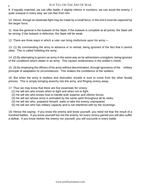9. If equally matched, we can offer battle; if slightly inferior in numbers, we can avoid the enemy; f quite unequal in every way, we can flee from him.

10. Hence, though an obstinate fight may be made by a small force, in the end it must be captured by the larger force.

11. Now the general is the bulwark of the State; if the bulwark is complete at all points; the State will be strong; if the bulwark is defective, the State will be weak.

12. There are three ways in which a ruler can bring misfortune upon his army:—

13. (1) By commanding the army to advance or to retreat, being ignorant of the fact that it cannot obey. This is called hobbling the army.

14. (2) By attempting to govern an army in the same way as he administers a kingdom, being ignorant of the conditions which obtain in an army. This causes restlessness in the soldier's minds.

15. (3) By employing the officers of his army without discrimination, through ignorance of the military principle of adaptation to circumstances. This shakes the confidence of the soldiers.

16. But when the army is restless and distrustful, trouble is sure to come from the other feudal princes. This is simply bringing anarchy into the army, and flinging victory away.

17. Thus we may know that there are five essentials for victory:

- (1) He will win who knows when to fight and when not to fight.
- (2) He will win who knows how to handle both superior and inferior forces.
- (3) He will win whose army is animated by the same spirit throughout all its ranks.
- (4) He will win who, prepared himself, waits to take the enemy unprepared.
- (5) He will win who has military capacity and is not interfered with by the sovereign.

18. Hence the saying: If you know the enemy and know yourself, you need not fear the result of a hundred battles. If you know yourself but not the enemy, for every victory gained you will also suffer a defeat. If you know neither the enemy nor yourself, you will succumb in every battle.

6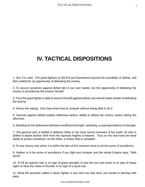### **IV. TACTICAL DISPOSITIONS**

1. Sun Tzu said: The good fighters of old first put themselves beyond the possibility of defeat, and then waited for an opportunity of defeating the enemy.

2. To secure ourselves against defeat lies in our own hands, but the opportunity of defeating the enemy is provided by the enemy himself.

3. Thus the good fighter is able to secure himself against defeat, but cannot make certain of defeating the enemy.

4. Hence the saying: One may know how to conquer without being able to do it.

5. Security against defeat implies defensive tactics; ability to defeat the enemy means taking the offensive.

6. Standing on the defensive indicates insufficient strength; attacking, a superabundance of strength.

7. The general who is skilled in defense hides in the most secret recesses of the earth; he who is skilled in attack flashes forth from the topmost heights of heaven. Thus on the one hand we have ability to protect ourselves; on the other, a victory that is complete.

8. To see victory only when it is within the ken of the common herd is not the acme of excellence.

9. Neither is it the acme of excellence if you fight and conquer and the whole Empire says, "Well done!"

10. To lift an autumn hair is no sign of great strength; to see the sun and moon is no sign of sharp sight; to hear the noise of thunder is no sign of a quick ear.

11. What the ancients called a clever fighter is one who not only wins, but excels in winning with ease.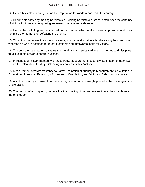12. Hence his victories bring him neither reputation for wisdom nor credit for courage.

13. He wins his battles by making no mistakes. Making no mistakes is what establishes the certainty of victory, for it means conquering an enemy that is already defeated.

14. Hence the skillful fighter puts himself into a position which makes defeat impossible, and does not miss the moment for defeating the enemy.

15. Thus it is that in war the victorious strategist only seeks battle after the victory has been won, whereas he who is destined to defeat first fights and afterwards looks for victory.

16. The consummate leader cultivates the moral law, and strictly adheres to method and discipline; thus it is in his power to control success.

17. In respect of military method, we have, firstly, Measurement; secondly, Estimation of quantity; thirdly, Calculation; fourthly, Balancing of chances; fifthly, Victory.

18. Measurement owes its existence to Earth; Estimation of quantity to Measurement; Calculation to Estimation of quantity; Balancing of chances to Calculation; and Victory to Balancing of chances.

19. A victorious army opposed to a routed one, is as a pound's weight placed in the scale against a single grain.

20. The onrush of a conquering force is like the bursting of pent-up waters into a chasm a thousand fathoms deep.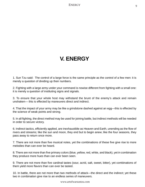### **V. ENERGY**

1. Sun Tzu said: The control of a large force is the same principle as the control of a few men: it is merely a question of dividing up their numbers.

2. Fighting with a large army under your command is nowise different from fighting with a small one: it is merely a question of instituting signs and signals.

3. To ensure that your whole host may withstand the brunt of the enemy's attack and remain unshaken— this is effected by maneuvers direct and indirect.

4. That the impact of your army may be like a grindstone dashed against an egg—this is effected by the science of weak points and strong.

5. In all fighting, the direct method may be used for joining battle, but indirect methods will be needed in order to secure victory.

6. Indirect tactics, efficiently applied, are inexhaustible as Heaven and Earth, unending as the flow of rivers and streams; like the sun and moon, they end but to begin anew; like the four seasons, they pass away to return once more.

7. There are not more than five musical notes, yet the combinations of these five give rise to more melodies than can ever be heard.

8. There are not more than five primary colors (blue, yellow, red, white, and black), yet in combination they produce more hues than can ever been seen.

9. There are not more than five cardinal tastes (sour, acrid, salt, sweet, bitter), yet combinations of them yield more flavors than can ever be tasted.

10. In battle, there are not more than two methods of attack—the direct and the indirect; yet these two in combination give rise to an endless series of maneuvers.

www.artofwarsuntzu.com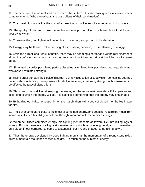11. The direct and the indirect lead on to each other in turn. It is like moving in a circle—you never come to an end. Who can exhaust the possibilities of their combination?

12. The onset of troops is like the rush of a torrent which will even roll stones along in its course.

13. The quality of decision is like the well-timed swoop of a falcon which enables it to strike and destroy its victim.

14. Therefore the good fighter will be terrible in his onset, and prompt in his decision.

15. Energy may be likened to the bending of a crossbow; decision, to the releasing of a trigger.

16. Amid the turmoil and tumult of battle, there may be seeming disorder and yet no real disorder at all; amid confusion and chaos, your array may be without head or tail, yet it will be proof against defeat.

17. Simulated disorder postulates perfect discipline, simulated fear postulates courage; simulated weakness postulates strength.

18. Hiding order beneath the cloak of disorder is simply a question of subdivision; concealing courage under a show of timidity presupposes a fund of latent energy; masking strength with weakness is to be effected by tactical dispositions.

19. Thus one who is skillful at keeping the enemy on the move maintains deceitful appearances, according to which the enemy will act. He sacrifices something, that the enemy may snatch at it.

20. By holding out baits, he keeps him on the march; then with a body of picked men he lies in wait for him.

21. The clever combatant looks to the effect of combined energy, and does not require too much from individuals. Hence his ability to pick out the right men and utilize combined energy.

22. When he utilizes combined energy, his fighting men become as it were like unto rolling logs or stones. For it is the nature of a log or stone to remain motionless on level ground, and to move when on a slope; if four-cornered, to come to a standstill, but if round-shaped, to go rolling down.

23. Thus the energy developed by good fighting men is as the momentum of a round stone rolled down a mountain thousands of feet in height. So much on the subject of energy.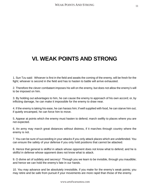## **VI. WEAK POINTS AND STRONG**

1. Sun Tzu said: Whoever is first in the field and awaits the coming of the enemy, will be fresh for the fight; whoever is second in the field and has to hasten to battle will arrive exhausted.

2. Therefore the clever combatant imposes his will on the enemy, but does not allow the enemy's will to be imposed on him.

3. By holding out advantages to him, he can cause the enemy to approach of his own accord; or, by inflicting damage, he can make it impossible for the enemy to draw near.

4. If the enemy is taking his ease, he can harass him; if well supplied with food, he can starve him out; if quietly encamped, he can force him to move.

5. Appear at points which the enemy must hasten to defend; march swiftly to places where you are not expected.

6. An army may march great distances without distress, if it marches through country where the enemy is not.

7. You can be sure of succeeding in your attacks if you only attack places which are undefended. You can ensure the safety of your defense if you only hold positions that cannot be attacked.

8. Hence that general is skillful in attack whose opponent does not know what to defend; and he is skillful in defense whose opponent does not know what to attack.

9. O divine art of subtlety and secrecy! Through you we learn to be invisible, through you inaudible; and hence we can hold the enemy's fate in our hands.

10. You may advance and be absolutely irresistible, if you make for the enemy's weak points; you may retire and be safe from pursuit if your movements are more rapid than those of the enemy.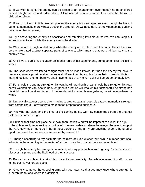11. If we wish to fight, the enemy can be forced to an engagement even though he be sheltered behind a high rampart and a deep ditch. All we need do is attack some other place that he will be obliged to relieve.

12. If we do not wish to fight, we can prevent the enemy from engaging us even though the lines of our encampment be merely traced out on the ground. All we need do is to throw something odd and unaccountable in his way.

13. By discovering the enemy's dispositions and remaining invisible ourselves, we can keep our forces concentrated, while the enemy's must be divided.

14. We can form a single united body, while the enemy must split up into fractions. Hence there will be a whole pitted against separate parts of a whole, which means that we shall be many to the enemy's few.

15. And if we are able thus to attack an inferior force with a superior one, our opponents will be in dire straits.

16. The spot where we intend to fight must not be made known; for then the enemy will have to prepare against a possible attack at several different points; and his forces being thus distributed in many directions, the numbers we shall have to face at any given point will be proportionately few.

17. For should the enemy strengthen his van, he will weaken his rear; should he strengthen his rear, he will weaken his van; should he strengthen his left, he will weaken his right; should he strengthen his right, he will weaken his left. If he sends reinforcements everywhere, he will everywhere be weak.

18. Numerical weakness comes from having to prepare against possible attacks; numerical strength, from compelling our adversary to make these preparations against us.

19. Knowing the place and the time of the coming battle, we may concentrate from the greatest distances in order to fight.

20. But if neither time nor place be known, then the left wing will be impotent to succor the right,

 the right equally impotent to succor the left, the van unable to relieve the rear, or the rear to support the van. How much more so if the furthest portions of the army are anything under a hundred LI apart, and even the nearest are separated by several LI!

21. Though according to my estimate the soldiers of Yueh exceed our own in number, that shall advantage them nothing in the matter of victory. I say then that victory can be achieved.

22. Though the enemy be stronger in numbers, we may prevent him from fighting. Scheme so as to discover his plans and the likelihood of their success.

23. Rouse him, and learn the principle of his activity or inactivity. Force him to reveal himself, so as to find out his vulnerable spots.

24. Carefully compare the opposing army with your own, so that you may know where strength is superabundant and where it is deficient.

12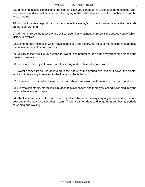#### WEAK POINTS AND STRONG 13

25. In making tactical dispositions, the highest pitch you can attain is to conceal them; conceal your dispositions, and you will be safe from the prying of the subtlest spies, from the machinations of the wisest brains.

26. How victory may be produced for them out of the enemy's own tactics—that is what the multitude cannot comprehend.

27. All men can see the tactics whereby I conquer, but what none can see is the strategy out of which victory is evolved.

28. Do not repeat the tactics which have gained you one victory, but let your methods be regulated by the infinite variety of circumstances.

29. Military tactics are like unto water; for water in its natural course runs away from high places and hastens downwards.

30. So in war, the way is to avoid what is strong and to strike at what is weak.

31. Water shapes its course according to the nature of the ground over which it flows; the soldier works out his victory in relation to the foe whom he is facing.

32. Therefore, just as water retains no constant shape, so in warfare there are no constant conditions.

33. He who can modify his tactics in relation to his opponent and thereby succeed in winning, may be called a heaven-born captain.

34. The five elements (water, fire, wood, metal, earth) are not always equally predominant; the four seasons make way for each other in turn. There are short days and long; the moon has its periods of waning and waxing.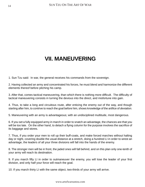### **VII. MANEUVERING**

1. Sun Tzu said: In war, the general receives his commands from the sovereign.

2. Having collected an army and concentrated his forces, he must blend and harmonize the different elements thereof before pitching his camp.

3. After that, comes tactical maneuvering, than which there is nothing more difficult. The difficulty of tactical maneuvering consists in turning the devious into the direct, and misfortune into gain.

4. Thus, to take a long and circuitous route, after enticing the enemy out of the way, and though starting after him, to contrive to reach the goal before him, shows knowledge of the artifice of deviation.

5. Maneuvering with an army is advantageous; with an undisciplined multitude, most dangerous.

6. If you set a fully equipped army in march in order to snatch an advantage, the chances are that you will be too late. On the other hand, to detach a flying column for the purpose involves the sacrifice of its baggage and stores.

7. Thus, if you order your men to roll up their buff-coats, and make forced marches without halting day or night, covering double the usual distance at a stretch, doing a hundred LI in order to wrest an advantage, the leaders of all your three divisions will fall into the hands of the enemy.

8. The stronger men will be in front, the jaded ones will fall behind, and on this plan only one-tenth of your army will reach its destination.

9. If you march fifty LI in order to outmaneuver the enemy, you will lose the leader of your first division, and only half your force will reach the goal.

10. If you march thirty LI with the same object, two-thirds of your army will arrive.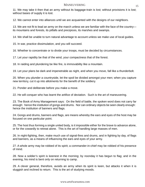#### MANEUVERING 15

11. We may take it then that an army without its baggage-train is lost; without provisions it is lost; without bases of supply it is lost.

12. We cannot enter into alliances until we are acquainted with the designs of our neighbors.

13. We are not fit to lead an army on the march unless we are familiar with the face of the country its mountains and forests, its pitfalls and precipices, its marshes and swamps.

14. We shall be unable to turn natural advantage to account unless we make use of local guides.

15. In war, practice dissimulation, and you will succeed.

16. Whether to concentrate or to divide your troops, must be decided by circumstances.

17. Let your rapidity be that of the wind, your compactness that of the forest.

18. In raiding and plundering be like fire, is immovability like a mountain.

19. Let your plans be dark and impenetrable as night, and when you move, fall like a thunderbolt.

20. When you plunder a countryside, let the spoil be divided amongst your men; when you capture new territory, cut it up into allotments for the benefit of the soldiery.

21. Ponder and deliberate before you make a move.

22. He will conquer who has learnt the artifice of deviation. Such is the art of maneuvering.

23. The Book of Army Management says: On the field of battle, the spoken word does not carry far enough: hence the institution of gongs and drums. Nor can ordinary objects be seen clearly enough: hence the institution of banners and flags.

24. Gongs and drums, banners and flags, are means whereby the ears and eyes of the host may be focused on one particular point.

25. The host thus forming a single united body, is it impossible either for the brave to advance alone, or for the cowardly to retreat alone. This is the art of handling large masses of men.

26. In night-fighting, then, make much use of signal-fires and drums, and in fighting by day, of flags and banners, as a means of influencing the ears and eyes of your army.

27. A whole army may be robbed of its spirit; a commander-in-chief may be robbed of his presence of mind.

28. Now a soldier's spirit is keenest in the morning; by noonday it has begun to flag; and in the evening, his mind is bent only on returning to camp.

29. A clever general, therefore, avoids an army when its spirit is keen, but attacks it when it is sluggish and inclined to return. This is the art of studying moods.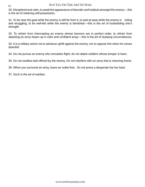30. Disciplined and calm, to await the appearance of disorder and hubbub amongst the enemy:—this is the art of retaining self-possession.

31. To be near the goal while the enemy is still far from it, to wait at ease while the enemy is toiling and struggling, to be well-fed while the enemy is famished:—this is the art of husbanding one's strength.

32. To refrain from intercepting an enemy whose banners are in perfect order, to refrain from attacking an army drawn up in calm and confident array:—this is the art of studying circumstances.

33. It is a military axiom not to advance uphill against the enemy, nor to oppose him when he comes downhill.

34. Do not pursue an enemy who simulates flight; do not attack soldiers whose temper is keen.

35. Do not swallow bait offered by the enemy. Do not interfere with an army that is returning home.

36. When you surround an army, leave an outlet free. Do not press a desperate foe too hard.

37. Such is the art of warfare.

16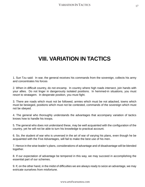### **VIII. VARIATION IN TACTICS**

1. Sun Tzu said: In war, the general receives his commands from the sovereign, collects his army and concentrates his forces

2. When in difficult country, do not encamp. In country where high roads intersect, join hands with your allies. Do not linger in dangerously isolated positions. In hemmed-in situations, you must resort to stratagem. In desperate position, you must fight.

3. There are roads which must not be followed, armies which must be not attacked, towns which must be besieged, positions which must not be contested, commands of the sovereign which must not be obeyed.

4. The general who thoroughly understands the advantages that accompany variation of tactics knows how to handle his troops.

5. The general who does not understand these, may be well acquainted with the configuration of the country, yet he will not be able to turn his knowledge to practical account.

6. So, the student of war who is unversed in the art of war of varying his plans, even though he be acquainted with the Five Advantages, will fail to make the best use of his men.

7. Hence in the wise leader's plans, considerations of advantage and of disadvantage will be blended together.

8. If our expectation of advantage be tempered in this way, we may succeed in accomplishing the essential part of our schemes.

9. If, on the other hand, in the midst of difficulties we are always ready to seize an advantage, we may extricate ourselves from misfortune.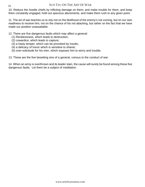10. Reduce the hostile chiefs by inflicting damage on them; and make trouble for them, and keep them constantly engaged; hold out specious allurements, and make them rush to any given point.

11. The art of war teaches us to rely not on the likelihood of the enemy's not coming, but on our own readiness to receive him; not on the chance of his not attacking, but rather on the fact that we have made our position unassailable.

12. There are five dangerous faults which may affect a general:

- (1) Recklessness, which leads to destruction;
- (2) cowardice, which leads to capture;
- (3) a hasty temper, which can be provoked by insults;
- (4) a delicacy of honor which is sensitive to shame;
- (5) over-solicitude for his men, which exposes him to worry and trouble.

13. These are the five besetting sins of a general, ruinous to the conduct of war.

14. When an army is overthrown and its leader slain, the cause will surely be found among these five dangerous faults. Let them be a subject of meditation.

18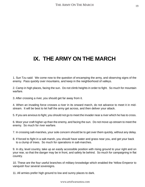## **IX. THE ARMY ON THE MARCH**

1. Sun Tzu said: We come now to the question of encamping the army, and observing signs of the enemy. Pass quickly over mountains, and keep in the neighborhood of valleys.

2. Camp in high places, facing the sun. Do not climb heights in order to fight. So much for mountain warfare.

3. After crossing a river, you should get far away from it.

4. When an invading force crosses a river in its onward march, do not advance to meet it in midstream. It will be best to let half the army get across, and then deliver your attack.

5. If you are anxious to fight, you should not go to meet the invader near a river which he has to cross.

6. Moor your craft higher up than the enemy, and facing the sun. Do not move up-stream to meet the enemy. So much for river warfare.

7. In crossing salt-marshes, your sole concern should be to get over them quickly, without any delay.

8. If forced to fight in a salt-marsh, you should have water and grass near you, and get your back to a clump of trees. So much for operations in salt-marches.

9. In dry, level country, take up an easily accessible position with rising ground to your right and on your rear, so that the danger may be in front, and safety lie behind. So much for campaigning in flat country.

10. These are the four useful branches of military knowledge which enabled the Yellow Emperor to vanquish four several sovereigns.

11. All armies prefer high ground to low and sunny places to dark.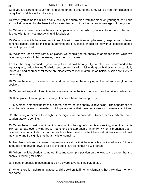12. If you are careful of your men, and camp on hard ground, the army will be free from disease of every kind, and this will spell victory.

13. When you come to a hill or a bank, occupy the sunny side, with the slope on your right rear. Thus you will at once act for the benefit of your soldiers and utilize the natural advantages of the ground.

14. When, in consequence of heavy rains up-country, a river which you wish to ford is swollen and flecked with foam, you must wait until it subsides.

15. Country in which there are precipitous cliffs with torrents running between, deep natural hollows, confined places, tangled thickets, quagmires and crevasses, should be left with all possible speed and not approached.

16. While we keep away from such places, we should get the enemy to approach them; while we face them, we should let the enemy have them on his rear.

17. If in the neighborhood of your camp there should be any hilly country, ponds surrounded by aquatic grass, hollow basins filled with reeds, or woods with thick undergrowth, they must be carefully routed out and searched; for these are places where men in ambush or insidious spies are likely to be lurking.

18. When the enemy is close at hand and remains quiet, he is relying on the natural strength of his position.

19. When he keeps aloof and tries to provoke a battle, he is anxious for the other side to advance.

20. If his place of encampment is easy of access, he is tendering a bait.

21. Movement amongst the trees of a forest shows that the enemy is advancing. The appearance of a number of screens in the midst of thick grass means that the enemy wants to make us suspicious.

22. The rising of birds in their flight is the sign of an ambuscade. Startled beasts indicate that a sudden attack is coming.

23. When there is dust rising in a high column, it is the sign of chariots advancing; when the dust is low, but spread over a wide area, it betokens the approach of infantry. When it branches out in different directions, it shows that parties have been sent to collect firewood. A few clouds of dust moving to and fro signify that the army is encamping.

24. Humble words and increased preparations are signs that the enemy is about to advance. Violent language and driving forward as if to the attack are signs that he will retreat.

25. When the light chariots come out first and take up a position on the wings, it is a sign that the enemy is forming for battle.

26. Peace proposals unaccompanied by a sworn covenant indicate a plot.

27. When there is much running about and the soldiers fall into rank, it means that the critical moment has come.

20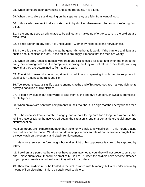#### THE ARMY ON THE MARCH 21

28. When some are seen advancing and some retreating, it is a lure.

29. When the soldiers stand leaning on their spears, they are faint from want of food.

30. If those who are sent to draw water begin by drinking themselves, the army is suffering from thirst.

31. If the enemy sees an advantage to be gained and makes no effort to secure it, the soldiers are exhausted.

32. If birds gather on any spot, it is unoccupied. Clamor by night betokens nervousness.

33. If there is disturbance in the camp, the general's authority is weak. If the banners and flags are shifted about, sedition is afoot. If the officers are angry, it means that the men are weary.

34. When an army feeds its horses with grain and kills its cattle for food, and when the men do not hang their cooking-pots over the camp-fires, showing that they will not return to their tents, you may know that they are determined to fight to the death.

35. The sight of men whispering together in small knots or speaking in subdued tones points to disaffection amongst the rank and file.

36. Too frequent rewards signify that the enemy is at the end of his resources; too many punishments betray a condition of dire distress.

37. To begin by bluster, but afterwards to take fright at the enemy's numbers, shows a supreme lack of intelligence.

38. When envoys are sent with compliments in their mouths, it is a sign that the enemy wishes for a truce.

39. If the enemy's troops march up angrily and remain facing ours for a long time without either joining battle or taking themselves off again, the situation is one that demands great vigilance and circumspection.

40. If our troops are no more in number than the enemy, that is amply sufficient; it only means that no direct attack can be made. What we can do is simply to concentrate all our available strength, keep a close watch on the enemy, and obtain reinforcements.

41. He who exercises no forethought but makes light of his opponents is sure to be captured by them.

42. If soldiers are punished before they have grown attached to you, they will not prove submissive; and, unless submissive, then will be practically useless. If, when the soldiers have become attached to you, punishments are not enforced, they will still be unless.

43. Therefore soldiers must be treated in the first instance with humanity, but kept under control by means of iron discipline. This is a certain road to victory.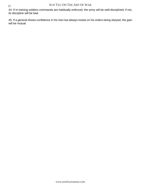44. If in training soldiers commands are habitually enforced, the army will be well-disciplined; if not, its discipline will be bad.

45. If a general shows confidence in his men but always insists on his orders being obeyed, the gain will be mutual.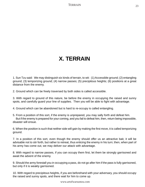### **X. TERRAIN**

1. Sun Tzu said: We may distinguish six kinds of terrain, to wit: (1) Accessible ground; (2) entangling ground; (3) temporizing ground; (4) narrow passes; (5) precipitous heights; (6) positions at a great distance from the enemy.

2. Ground which can be freely traversed by both sides is called accessible.

3. With regard to ground of this nature, be before the enemy in occupying the raised and sunny spots, and carefully guard your line of supplies. Then you will be able to fight with advantage.

4. Ground which can be abandoned but is hard to re-occupy is called entangling.

5. From a position of this sort, if the enemy is unprepared, you may sally forth and defeat him. But if the enemy is prepared for your coming, and you fail to defeat him, then, return being impossible, disaster will ensue.

6. When the position is such that neither side will gain by making the first move, it is called temporizing ground.

7. In a position of this sort, even though the enemy should offer us an attractive bait, it will be advisable not to stir forth, but rather to retreat, thus enticing the enemy in his turn; then, when part of his army has come out, we may deliver our attack with advantage.

8. With regard to narrow passes, if you can occupy them first, let them be strongly garrisoned and await the advent of the enemy.

9. Should the army forestall you in occupying a pass, do not go after him if the pass is fully garrisoned, but only if it is weakly garrisoned.

10. With regard to precipitous heights, if you are beforehand with your adversary, you should occupy the raised and sunny spots, and there wait for him to come up.

www.artofwarsuntzu.com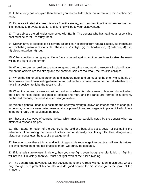11. If the enemy has occupied them before you, do not follow him, but retreat and try to entice him away.

12. If you are situated at a great distance from the enemy, and the strength of the two armies is equal, it is not easy to provoke a battle, and fighting will be to your disadvantage.

13. These six are the principles connected with Earth. The general who has attained a responsible post must be careful to study them.

14. Now an army is exposed to six several calamities, not arising from natural causes, but from faults for which the general is responsible. These are: (1) Flight; (2) insubordination; (3) collapse; (4) ruin; (5) disorganization; (6) rout.

15. Other conditions being equal, if one force is hurled against another ten times its size, the result will be the flight of the former.

16. When the common soldiers are too strong and their officers too weak, the result is insubordination. When the officers are too strong and the common soldiers too weak, the result is collapse.

17. When the higher officers are angry and insubordinate, and on meeting the enemy give battle on their own account from a feeling of resentment, before the commander-in-chief can tell whether or no he is in a position to fight, the result is ruin.

18. When the general is weak and without authority; when his orders are not clear and distinct; when there are no fixes duties assigned to officers and men, and the ranks are formed in a slovenly haphazard manner, the result is utter disorganization.

19. When a general, unable to estimate the enemy's strength, allows an inferior force to engage a larger one, or hurls a weak detachment against a powerful one, and neglects to place picked soldiers in the front rank, the result must be rout.

20. These are six ways of courting defeat, which must be carefully noted by the general who has attained a responsible post.

21. The natural formation of the country is the soldier's best ally; but a power of estimating the adversary, of controlling the forces of victory, and of shrewdly calculating difficulties, dangers and distances, constitutes the test of a great general.

22. He who knows these things, and in fighting puts his knowledge into practice, will win his battles. He who knows them not, nor practices them, will surely be defeated.

23. If fighting is sure to result in victory, then you must fight, even though the ruler forbid it; if fighting will not result in victory, then you must not fight even at the ruler's bidding.

24. The general who advances without coveting fame and retreats without fearing disgrace, whose only thought is to protect his country and do good service for his sovereign, is the jewel of the kingdom.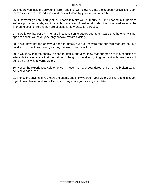#### TERRAIN 25

25. Regard your soldiers as your children, and they will follow you into the deepest valleys; look upon them as your own beloved sons, and they will stand by you even unto death.

26. If, however, you are indulgent, but unable to make your authority felt; kind-hearted, but unable to enforce your commands; and incapable, moreover, of quelling disorder: then your soldiers must be likened to spoilt children; they are useless for any practical purpose.

27. If we know that our own men are in a condition to attack, but are unaware that the enemy is not open to attack, we have gone only halfway towards victory.

28. If we know that the enemy is open to attack, but are unaware that our own men are not in a condition to attack, we have gone only halfway towards victory.

29. If we know that the enemy is open to attack, and also know that our men are in a condition to attack, but are unaware that the nature of the ground makes fighting impracticable, we have still gone only halfway towards victory.

30. Hence the experienced soldier, once in motion, is never bewildered; once he has broken camp, he is never at a loss.

31. Hence the saying: If you know the enemy and know yourself, your victory will not stand in doubt; if you know Heaven and know Earth, you may make your victory complete.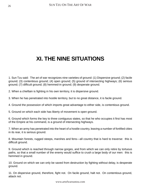### **XI. THE NINE SITUATIONS**

1. Sun Tzu said: The art of war recognizes nine varieties of ground: (1) Dispersive ground; (2) facile ground; (3) contentious ground; (4) open ground; (5) ground of intersecting highways; (6) serious ground; (7) difficult ground; (8) hemmed-in ground; (9) desperate ground.

2. When a chieftain is fighting in his own territory, it is dispersive ground.

- 3. When he has penetrated into hostile territory, but to no great distance, it is facile ground.
- 4. Ground the possession of which imports great advantage to either side, is contentious ground.
- 5. Ground on which each side has liberty of movement is open ground.

6. Ground which forms the key to three contiguous states, so that he who occupies it first has most of the Empire at his command, is a ground of intersecting highways.

7. When an army has penetrated into the heart of a hostile country, leaving a number of fortified cities in its rear, it is serious ground.

8. Mountain forests, rugged steeps, marshes and fens—all country that is hard to traverse: this is difficult ground.

9. Ground which is reached through narrow gorges, and from which we can only retire by tortuous paths, so that a small number of the enemy would suffice to crush a large body of our men: this is hemmed in ground.

10. Ground on which we can only be saved from destruction by fighting without delay, is desperate ground.

11. On dispersive ground, therefore, fight not. On facile ground, halt not. On contentious ground, attack not.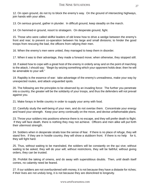12. On open ground, do not try to block the enemy's way. On the ground of intersecting highways, join hands with your allies.

13. On serious ground, gather in plunder. In difficult ground, keep steadily on the march.

14. On hemmed-in ground, resort to stratagem. On desperate ground, fight.

15. Those who were called skillful leaders of old knew how to drive a wedge between the enemy's front and rear; to prevent co-operation between his large and small divisions; to hinder the good troops from rescuing the bad, the officers from rallying their men.

16. When the enemy's men were united, they managed to keep them in disorder.

17. When it was to their advantage, they made a forward move; when otherwise, they stopped still.

18. If asked how to cope with a great host of the enemy in orderly array and on the point of marching to the attack, I should say: "Begin by seizing something which your opponent holds dear; then he will be amenable to your will."

19. Rapidity is the essence of war: take advantage of the enemy's unreadiness, make your way by unexpected routes, and attack unguarded spots.

20. The following are the principles to be observed by an invading force: The further you penetrate into a country, the greater will be the solidarity of your troops, and thus the defenders will not prevail against you.

21. Make forays in fertile country in order to supply your army with food.

22. Carefully study the well-being of your men, and do not overtax them. Concentrate your energy and hoard your strength. Keep your army continually on the move, and devise unfathomable plans.

23. Throw your soldiers into positions whence there is no escape, and they will prefer death to flight. If they will face death, there is nothing they may not achieve. Officers and men alike will put forth their uttermost strength.

24. Soldiers when in desperate straits lose the sense of fear. If there is no place of refuge, they will stand firm. If they are in hostile country, they will show a stubborn front. If there is no help for it, they will fight hard.

25. Thus, without waiting to be marshaled, the soldiers will be constantly on the qui vive; without waiting to be asked, they will do your will; without restrictions, they will be faithful; without giving orders, they can be trusted.

26. Prohibit the taking of omens, and do away with superstitious doubts. Then, until death itself comes, no calamity need be feared.

27. If our soldiers are not overburdened with money, it is not because they have a distaste for riches; if their lives are not unduly long, it is not because they are disinclined to longevity.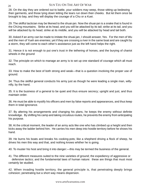28. On the day they are ordered out to battle, your soldiers may weep, those sitting up bedewing their garments, and those lying down letting the tears run down their cheeks. But let them once be brought to bay, and they will display the courage of a Chu or a Kuei.

29. The skillful tactician may be likened to the shuai-jan. Now the shuai-jan is a snake that is found in the ChUng mountains. Strike at its head, and you will be attacked by its tail; strike at its tail, and you will be attacked by its head; strike at its middle, and you will be attacked by head and tail both.

30. Asked if an army can be made to imitate the shuai-jan, I should answer, Yes. For the men of Wu and the men of Yueh are enemies; yet if they are crossing a river in the same boat and are caught by a storm, they will come to each other's assistance just as the left hand helps the right.

31. Hence it is not enough to put one's trust in the tethering of horses, and the burying of chariot wheels in the ground

32. The principle on which to manage an army is to set up one standard of courage which all must reach.

33. How to make the best of both strong and weak—that is a question involving the proper use of ground.

34. Thus the skillful general conducts his army just as though he were leading a single man, willynilly, by the hand.

35. It is the business of a general to be quiet and thus ensure secrecy; upright and just, and thus maintain order.

36. He must be able to mystify his officers and men by false reports and appearances, and thus keep them in total ignorance.

37. By altering his arrangements and changing his plans, he keeps the enemy without definite knowledge. By shifting his camp and taking circuitous routes, he prevents the enemy from anticipating his purpose.

38. At the critical moment, the leader of an army acts like one who has climbed up a height and then kicks away the ladder behind him. He carries his men deep into hostile territory before he shows his hand.

39. He burns his boats and breaks his cooking-pots; like a shepherd driving a flock of sheep, he drives his men this way and that, and nothing knows whither he is going.

40. To muster his host and bring it into danger:—this may be termed the business of the general.

41. The different measures suited to the nine varieties of ground; the expediency of aggressive or defensive tactics; and the fundamental laws of human nature: these are things that must most certainly be studied.

42. When invading hostile territory, the general principle is, that penetrating deeply brings cohesion; penetrating but a short way means dispersion.

28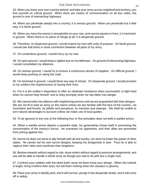#### THE NINE SITUATIONS 29

43. When you leave your own country behind, and take your army across neighborhood territory, you find yourself on critical ground. When there are means of communication on all four sides, the ground is one of intersecting highways.

44. When you penetrate deeply into a country, it is serious ground. When you penetrate but a little way, it is facile ground.

45. When you have the enemy's strongholds on your rear, and narrow passes in front, it is hemmedin ground. When there is no place of refuge at all, it is desperate ground.

46. Therefore, on dispersive ground, I would inspire my men with unity of purpose. On facile ground, I would see that there is close connection between all parts of my army.

47. On contentious ground, I would hurry up my rear.

48. On open ground, I would keep a vigilant eye on my defenses. On ground of intersecting highways, I would consolidate my alliances.

49. On serious ground, I would try to ensure a continuous stream of supplies. On difficult ground, I would keep pushing on along the road.

50. On hemmed-in ground, I would block any way of retreat. On desperate ground, I would proclaim to my soldiers the hopelessness of saving their lives.

51. For it is the soldier's disposition to offer an obstinate resistance when surrounded, to fight hard when he cannot help himself, and to obey promptly when he has fallen into danger.

52. We cannot enter into alliance with neighboring princes until we are acquainted with their designs. We are not fit to lead an army on the march unless we are familiar with the face of the country—its mountains and forests, its pitfalls and precipices, its marshes and swamps. We shall be unable to turn natural advantages to account unless we make use of local guides.

53. To be ignored of any one of the following four or five principles does not befit a warlike prince.

54. When a warlike prince attacks a powerful state, his generalship shows itself in preventing the concentration of the enemy's forces. He overawes his opponents, and their allies are prevented from joining against him.

55. Hence he does not strive to ally himself with all and sundry, nor does he foster the power of other states. He carries out his own secret designs, keeping his antagonists in awe. Thus he is able to capture their cities and overthrow their kingdoms.

56. Bestow rewards without regard to rule, issue orders without regard to previous arrangements; and you will be able to handle a whole army as though you had to do with but a single man.

57. Confront your soldiers with the deed itself; never let them know your design. When the outlook is bright, bring it before their eyes; but tell them nothing when the situation is gloomy.

58. Place your army in deadly peril, and it will survive; plunge it into desperate straits, and it will come off in safety.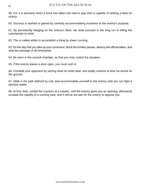59. For it is precisely when a force has fallen into harm's way that is capable of striking a blow for victory.

60. Success in warfare is gained by carefully accommodating ourselves to the enemy's purpose.

61. By persistently hanging on the enemy's flank, we shall succeed in the long run in killing the commander-in-chief.

62. This is called ability to accomplish a thing by sheer cunning.

63. On the day that you take up your command, block the frontier passes, destroy the official tallies, and stop the passage of all emissaries.

64. Be stern in the council-chamber, so that you may control the situation.

65. If the enemy leaves a door open, you must rush in.

66. Forestall your opponent by seizing what he holds dear, and subtly contrive to time his arrival on the ground.

67. Walk in the path defined by rule, and accommodate yourself to the enemy until you can fight a decisive battle.

68. At first, then, exhibit the coyness of a maiden, until the enemy gives you an opening; afterwards emulate the rapidity of a running hare, and it will be too late for the enemy to oppose you.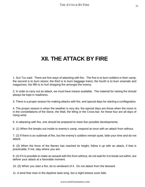### **XII. THE ATTACK BY FIRE**

1. Sun Tzu said: There are five ways of attacking with fire. The first is to burn soldiers in their camp; the second is to burn stores; the third is to burn baggage trains; the fourth is to burn arsenals and magazines; the fifth is to hurl dropping fire amongst the enemy.

2. In order to carry out an attack, we must have means available. The material for raising fire should always be kept in readiness.

3. There is a proper season for making attacks with fire, and special days for starting a conflagration.

4. The proper season is when the weather is very dry; the special days are those when the moon is in the constellations of the Sieve, the Wall, the Wing or the Cross-bar; for these four are all days of rising wind.

5. In attacking with fire, one should be prepared to meet five possible developments:

6. (1) When fire breaks out inside to enemy's camp, respond at once with an attack from without.

7. (2) If there is an outbreak of fire, but the enemy's soldiers remain quiet, bide your time and do not attack.

8. (3) When the force of the flames has reached its height, follow it up with an attack, if that is practicable; if not, stay where you are.

9. (4) If it is possible to make an assault with fire from without, do not wait for it to break out within, but deliver your attack at a favorable moment.

10. (5) When you start a fire, be to windward of it. Do not attack from the leeward.

11. A wind that rises in the daytime lasts long, but a night breeze soon falls.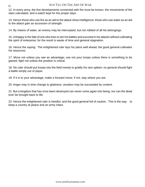12. In every army, the five developments connected with fire must be known, the movements of the stars calculated, and a watch kept for the proper days.

13. Hence those who use fire as an aid to the attack show intelligence; those who use water as an aid to the attack gain an accession of strength.

14. By means of water, an enemy may be intercepted, but not robbed of all his belongings.

15. Unhappy is the fate of one who tries to win his battles and succeed in his attacks without cultivating the spirit of enterprise; for the result is waste of time and general stagnation.

16. Hence the saying: The enlightened ruler lays his plans well ahead; the good general cultivates his resources.

17. Move not unless you see an advantage; use not your troops unless there is something to be gained; fight not unless the position is critical.

18. No ruler should put troops into the field merely to gratify his own spleen; no general should fight a battle simply out of pique.

19. If it is to your advantage, make a forward move; if not, stay where you are.

20. Anger may in time change to gladness; vexation may be succeeded by content.

21. But a kingdom that has once been destroyed can never come again into being; nor can the dead ever be brought back to life.

22. Hence the enlightened ruler is heedful, and the good general full of caution. This is the way to keep a country at peace and an army intact.

#### 32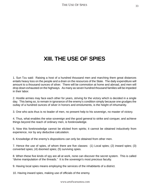### **XIII. THE USE OF SPIES**

1. Sun Tzu said: Raising a host of a hundred thousand men and marching them great distances entails heavy loss on the people and a drain on the resources of the State. The daily expenditure will amount to a thousand ounces of silver. There will be commotion at home and abroad, and men will drop down exhausted on the highways. As many as seven hundred thousand families will be impeded in their labor.

2. Hostile armies may face each other for years, striving for the victory which is decided in a single day. This being so, to remain in ignorance of the enemy's condition simply because one grudges the outlay of a hundred ounces of silver in honors and emoluments, is the height of inhumanity.

3. One who acts thus is no leader of men, no present help to his sovereign, no master of victory.

4. Thus, what enables the wise sovereign and the good general to strike and conquer, and achieve things beyond the reach of ordinary men, is foreknowledge.

5. Now this foreknowledge cannot be elicited from spirits; it cannot be obtained inductively from experience, nor by any deductive calculation.

6. Knowledge of the enemy's dispositions can only be obtained from other men.

7. Hence the use of spies, of whom there are five classes: (1) Local spies; (2) inward spies; (3) converted spies; (4) doomed spies; (5) surviving spies.

8. When these five kinds of spy are all at work, none can discover the secret system. This is called "divine manipulation of the threads." It is the sovereign's most precious faculty.

9. Having local spies means employing the services of the inhabitants of a district.

10. Having inward spies, making use of officials of the enemy.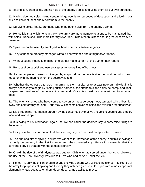11. Having converted spies, getting hold of the enemy's spies and using them for our own purposes.

12. Having doomed spies, doing certain things openly for purposes of deception, and allowing our spies to know of them and report them to the enemy.

13. Surviving spies, finally, are those who bring back news from the enemy's camp.

14. Hence it is that which none in the whole army are more intimate relations to be maintained than with spies. None should be more liberally rewarded. In no other business should greater secrecy be preserved.

15. Spies cannot be usefully employed without a certain intuitive sagacity.

16. They cannot be properly managed without benevolence and straightforwardness.

17. Without subtle ingenuity of mind, one cannot make certain of the truth of their reports.

18. Be subtle! be subtle! and use your spies for every kind of business.

19. If a secret piece of news is divulged by a spy before the time is ripe, he must be put to death together with the man to whom the secret was told.

20. Whether the object be to crush an army, to storm a city, or to assassinate an individual, it is always necessary to begin by finding out the names of the attendants, the aides-de-camp, and doorkeepers and sentries of the general in command. Our spies must be commissioned to ascertain these.

21. The enemy's spies who have come to spy on us must be sought out, tempted with bribes, led away and comfortably housed. Thus they will become converted spies and available for our service.

22. It is through the information brought by the converted spy that we are able to acquire and employ local and inward spies.

23. It is owing to his information, again, that we can cause the doomed spy to carry false tidings to the enemy.

24. Lastly, it is by his information that the surviving spy can be used on appointed occasions.

25. The end and aim of spying in all its five varieties is knowledge of the enemy; and this knowledge can only be derived, in the first instance, from the converted spy. Hence it is essential that the converted spy be treated with the utmost liberality.

26. Of old, the rise of the Yin dynasty was due to I Chih who had served under the Hsia. Likewise, the rise of the Chou dynasty was due to Lu Ya who had served under the Yin.

27. Hence it is only the enlightened ruler and the wise general who will use the highest intelligence of the army for purposes of spying and thereby they achieve great results. Spies are a most important element in water, because on them depends an army's ability to move.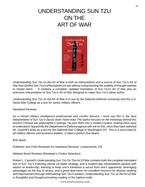### UNDERSTANDING SUN TZU ON THE ART OF WAR



Understanding Sun Tzu on the Art of War is both an interpretation and a source of Sun Tzu's Art of War that clarifies Sun Tzu's philosophies on war without compromising the subtlety of thought needed to master them. It contains a complete, updated translation of Sun Tzu's Art of War plus an extensive interpretation of Sun Tzu's Art of War designed to make Sun Tzu's ideas useful.

Understanding Sun Tzu on the Art of War is in use by the National Defense University and the U.S. Naval War College as a text for senior military officers.

#### Heartland Reviews

As a retired military intelligence professional and conflict theorist, I must say this is the best interpretation of Sun Tzu's classic work I have read. The author focuses on the meanings behind this ancient Chinese war philosopher's writings. He puts them into a modern context, making them easy to understand. Apparently the Department of Defense agrees with me on this, since they have selected Mr. Cantrell's book as a text for the National War College in Washington DC. This is a must read for all military officers and business leaders. It rated a perfect five hearts.

#### Bob Spear

Publisher and Chief Reviewer for Heartland Reviews, Leavenworth, KS

Midwest Book Reviews (Reviewer's Choice Selection)

Robert L. Cantrell's Understanding Sun Tzu On The Art Of War contains both the complete translated text of Sun Tzu's enduring classic on battle strategy, and a modern-day interpretation packed with advice on leadership, learning to keep one's intentions a secret from one's opponents, leveraging advantages as the key to victory, and a great deal more. An excellent resource for anyone seeking self-improvement through internalizing Sun Tzu's wisdom, Understanding Sun Tzu on the Art of War is thoughtful and thought-provoking reading of the highest order.

www.artofwarsuntzu.com